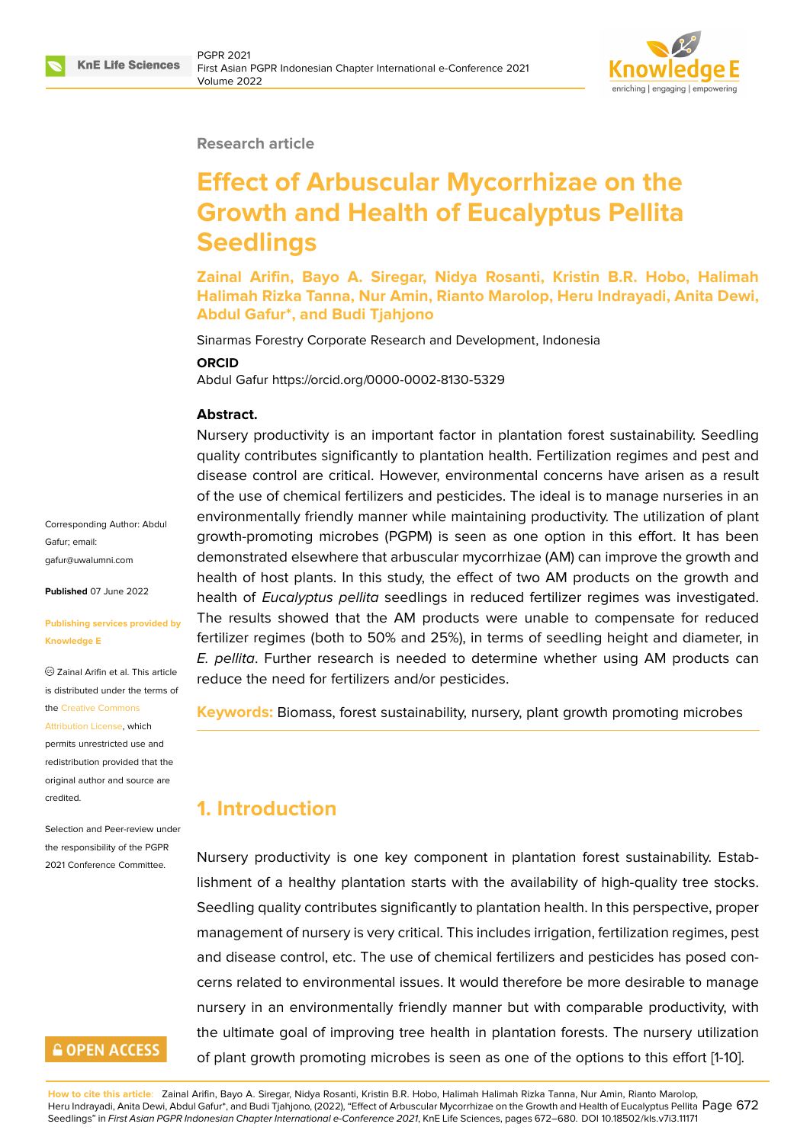

#### **Research article**

# **Effect of Arbuscular Mycorrhizae on the Growth and Health of Eucalyptus Pellita Seedlings**

**Zainal Arifin, Bayo A. Siregar, Nidya Rosanti, Kristin B.R. Hobo, Halimah Halimah Rizka Tanna, Nur Amin, Rianto Marolop, Heru Indrayadi, Anita Dewi, Abdul Gafur\*, and Budi Tjahjono**

Sinarmas Forestry Corporate Research and Development, Indonesia

#### **ORCID**

Abdul Gafur https://orcid.org/0000-0002-8130-5329

#### **Abstract.**

Nursery productivity is an important factor in plantation forest sustainability. Seedling quality contributes significantly to plantation health. Fertilization regimes and pest and disease control are critical. However, environmental concerns have arisen as a result of the use of chemical fertilizers and pesticides. The ideal is to manage nurseries in an environmentally friendly manner while maintaining productivity. The utilization of plant growth-promoting microbes (PGPM) is seen as one option in this effort. It has been demonstrated elsewhere that arbuscular mycorrhizae (AM) can improve the growth and health of host plants. In this study, the effect of two AM products on the growth and health of *Eucalyptus pellita* seedlings in reduced fertilizer regimes was investigated. The results showed that the AM products were unable to compensate for reduced fertilizer regimes (both to 50% and 25%), in terms of seedling height and diameter, in *E. pellita*. Further research is needed to determine whether using AM products can reduce the need for fertilizers and/or pesticides.

**Keywords:** Biomass, forest sustainability, nursery, plant growth promoting microbes

# **1. Introduction**

Nursery productivity is one key component in plantation forest sustainability. Establishment of a healthy plantation starts with the availability of high-quality tree stocks. Seedling quality contributes significantly to plantation health. In this perspective, proper management of nursery is very critical. This includes irrigation, fertilization regimes, pest and disease control, etc. The use of chemical fertilizers and pesticides has posed concerns related to environmental issues. It would therefore be more desirable to manage nursery in an environmentally friendly manner but with comparable productivity, with the ultimate goal of improving tree health in plantation forests. The nursery utilization of plant growth promoting microbes is seen as one of the options to this effort [1-10].

**How to cite this article**: Zainal Arifin, Bayo A. Siregar, Nidya Rosanti, Kristin B.R. Hobo, Halimah Halimah Rizka Tanna, Nur Amin, Rianto Marolop,

Corresponding Author: Abdul Gafur; email: gafur@uwalumni.com

**Published** 07 June 2022

#### **[Publishing services p](mailto:gafur@uwalumni.com)rovided by Knowledge E**

Zainal Arifin et al. This article is distributed under the terms of the Creative Commons

Attribution License, which

permits unrestricted use and redistribution provided that the orig[inal author and sou](https://creativecommons.org/licenses/by/4.0/)rce are [credited.](https://creativecommons.org/licenses/by/4.0/)

Selection and Peer-review under the responsibility of the PGPR 2021 Conference Committee.

# **GOPEN ACCESS**

Heru Indrayadi, Anita Dewi, Abdul Gafur\*, and Budi Tjahjono, (2022), "Effect of Arbuscular Mycorrhizae on the Growth and Health of Eucalyptus Pellita  $\mathsf{Page}\,672$ Seedlings" in *First Asian PGPR Indonesian Chapter International e-Conference 2021*, KnE Life Sciences, pages 672–680. DOI 10.18502/kls.v7i3.11171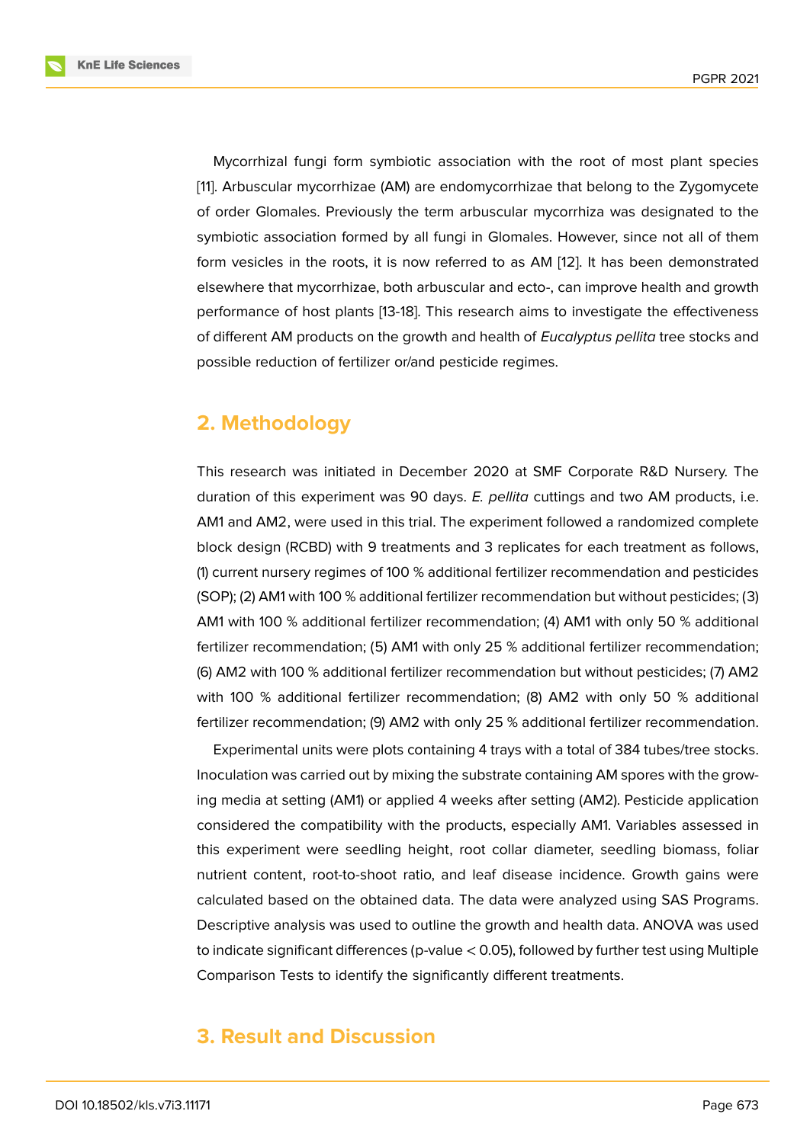Mycorrhizal fungi form symbiotic association with the root of most plant species [11]. Arbuscular mycorrhizae (AM) are endomycorrhizae that belong to the Zygomycete of order Glomales. Previously the term arbuscular mycorrhiza was designated to the symbiotic association formed by all fungi in Glomales. However, since not all of them [for](#page-7-0)m vesicles in the roots, it is now referred to as AM [12]. It has been demonstrated elsewhere that mycorrhizae, both arbuscular and ecto-, can improve health and growth performance of host plants [13-18]. This research aims to investigate the effectiveness of different AM products on the growth and health of *Eu[cal](#page-7-1)yptus pellita* tree stocks and possible reduction of fertilizer or/and pesticide regimes.

# **2. Methodology**

This research was initiated in December 2020 at SMF Corporate R&D Nursery. The duration of this experiment was 90 days. *E. pellita* cuttings and two AM products, i.e. AM1 and AM2, were used in this trial. The experiment followed a randomized complete block design (RCBD) with 9 treatments and 3 replicates for each treatment as follows, (1) current nursery regimes of 100 % additional fertilizer recommendation and pesticides (SOP); (2) AM1 with 100 % additional fertilizer recommendation but without pesticides; (3) AM1 with 100 % additional fertilizer recommendation; (4) AM1 with only 50 % additional fertilizer recommendation; (5) AM1 with only 25 % additional fertilizer recommendation; (6) AM2 with 100 % additional fertilizer recommendation but without pesticides; (7) AM2 with 100 % additional fertilizer recommendation; (8) AM2 with only 50 % additional fertilizer recommendation; (9) AM2 with only 25 % additional fertilizer recommendation.

Experimental units were plots containing 4 trays with a total of 384 tubes/tree stocks. Inoculation was carried out by mixing the substrate containing AM spores with the growing media at setting (AM1) or applied 4 weeks after setting (AM2). Pesticide application considered the compatibility with the products, especially AM1. Variables assessed in this experiment were seedling height, root collar diameter, seedling biomass, foliar nutrient content, root-to-shoot ratio, and leaf disease incidence. Growth gains were calculated based on the obtained data. The data were analyzed using SAS Programs. Descriptive analysis was used to outline the growth and health data. ANOVA was used to indicate significant differences (p-value < 0.05), followed by further test using Multiple Comparison Tests to identify the significantly different treatments.

# **3. Result and Discussion**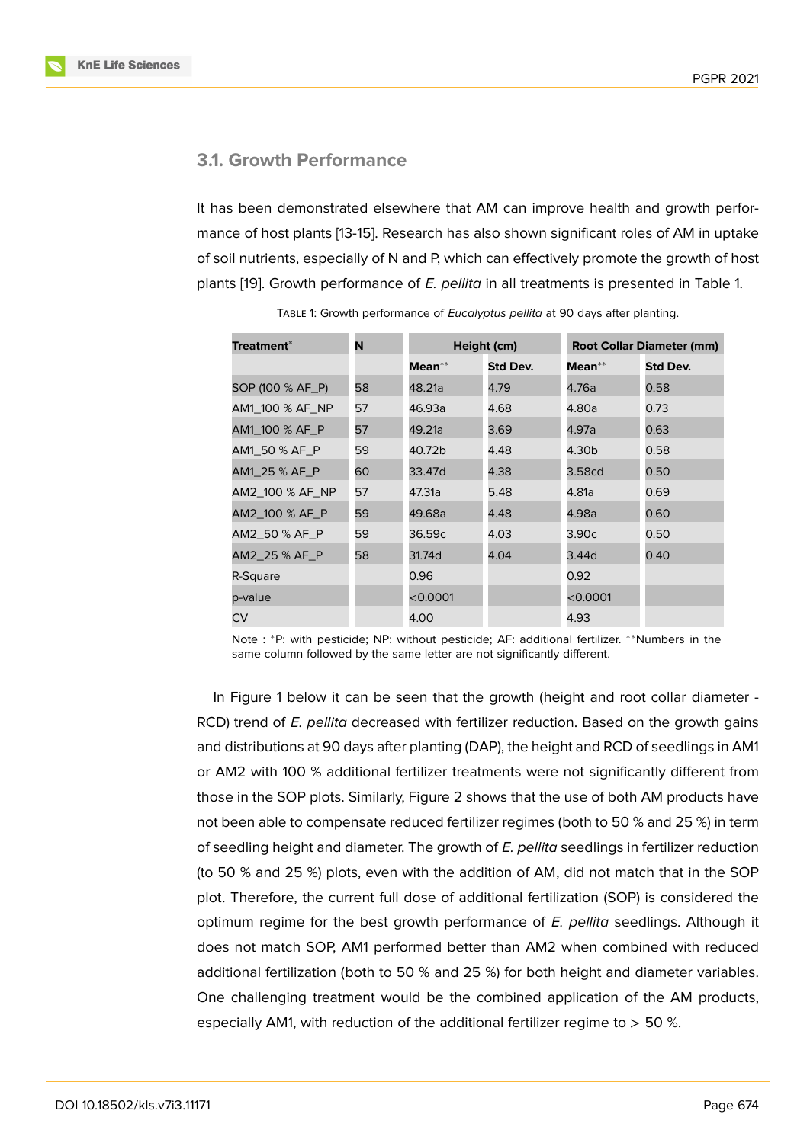### **3.1. Growth Performance**

It has been demonstrated elsewhere that AM can improve health and growth performance of host plants [13-15]. Research has also shown significant roles of AM in uptake of soil nutrients, especially of N and P, which can effectively promote the growth of host plants [19]. Growth performance of *E. pellita* in all treatments is presented in Table 1.

| <b>Treatment*</b> | N  | Height (cm) |          | <b>Root Collar Diameter (mm)</b> |          |
|-------------------|----|-------------|----------|----------------------------------|----------|
|                   |    | Mean**      | Std Dev. | Mean**                           | Std Dev. |
| SOP (100 % AF_P)  | 58 | 48.21a      | 4.79     | 4.76a                            | 0.58     |
| AM1_100 % AF_NP   | 57 | 46.93a      | 4.68     | 4.80a                            | 0.73     |
| AM1_100 % AF_P    | 57 | 49.21a      | 3.69     | 4.97a                            | 0.63     |
| AM1_50 % AF_P     | 59 | 40.72b      | 4.48     | 4.30b                            | 0.58     |
| AM1_25 % AF_P     | 60 | 33.47d      | 4.38     | 3.58cd                           | 0.50     |
| AM2_100 % AF_NP   | 57 | 47.31a      | 5.48     | 4.81a                            | 0.69     |
| AM2_100 % AF_P    | 59 | 49.68a      | 4.48     | 4.98a                            | 0.60     |
| AM2_50 % AF_P     | 59 | 36.59c      | 4.03     | 3.90c                            | 0.50     |
| AM2_25 % AF_P     | 58 | 31.74d      | 4.04     | 3.44d                            | 0.40     |
| R-Square          |    | 0.96        |          | 0.92                             |          |
| p-value           |    | < 0.0001    |          | < 0.0001                         |          |
| CV                |    | 4.00        |          | 4.93                             |          |

Table 1: Growth performance of *Eucalyptus pellita* at 90 days after planting.

Note : \*P: with pesticide; NP: without pesticide; AF: additional fertilizer. \*\*Numbers in the same column followed by the same letter are not significantly different.

In Figure 1 below it can be seen that the growth (height and root collar diameter - RCD) trend of *E. pellita* decreased with fertilizer reduction. Based on the growth gains and distributions at 90 days after planting (DAP), the height and RCD of seedlings in AM1 or AM2 wit[h](#page-3-0) 100 % additional fertilizer treatments were not significantly different from those in the SOP plots. Similarly, Figure 2 shows that the use of both AM products have not been able to compensate reduced fertilizer regimes (both to 50 % and 25 %) in term of seedling height and diameter. The growth of *E. pellita* seedlings in fertilizer reduction (to 50 % and 25 %) plots, even with th[e a](#page-3-1)ddition of AM, did not match that in the SOP plot. Therefore, the current full dose of additional fertilization (SOP) is considered the optimum regime for the best growth performance of *E. pellita* seedlings. Although it does not match SOP, AM1 performed better than AM2 when combined with reduced additional fertilization (both to 50 % and 25 %) for both height and diameter variables. One challenging treatment would be the combined application of the AM products, especially AM1, with reduction of the additional fertilizer regime to  $>$  50 %.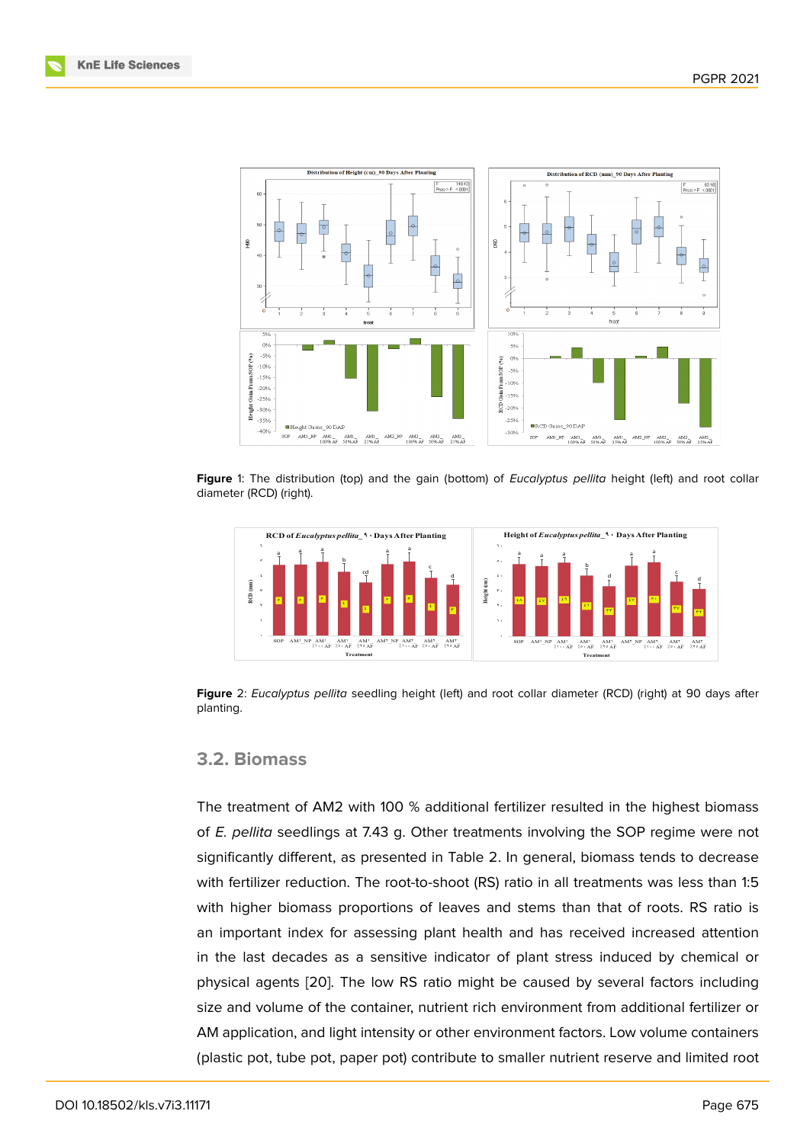

**Figure** 1: The distribution (top) and the gain (bottom) of *Eucalyptus pellita* height (left) and root collar diameter (RCD) (right).

<span id="page-3-0"></span>

**Figure** 2: *Eucalyptus pellita* seedling height (left) and root collar diameter (RCD) (right) at 90 days after planting.

#### <span id="page-3-1"></span>**3.2. Biomass**

The treatment of AM2 with 100 % additional fertilizer resulted in the highest biomass of *E. pellita* seedlings at 7.43 g. Other treatments involving the SOP regime were not significantly different, as presented in Table 2. In general, biomass tends to decrease with fertilizer reduction. The root-to-shoot (RS) ratio in all treatments was less than 1:5 with higher biomass proportions of leaves and stems than that of roots. RS ratio is an important index for assessing plant health and has received increased attention in the last decades as a sensitive indicator of plant stress induced by chemical or physical agents [20]. The low RS ratio might be caused by several factors including size and volume of the container, nutrient rich environment from additional fertilizer or AM application, and light intensity or other environment factors. Low volume containers (plastic pot, tube [pot](#page-8-1), paper pot) contribute to smaller nutrient reserve and limited root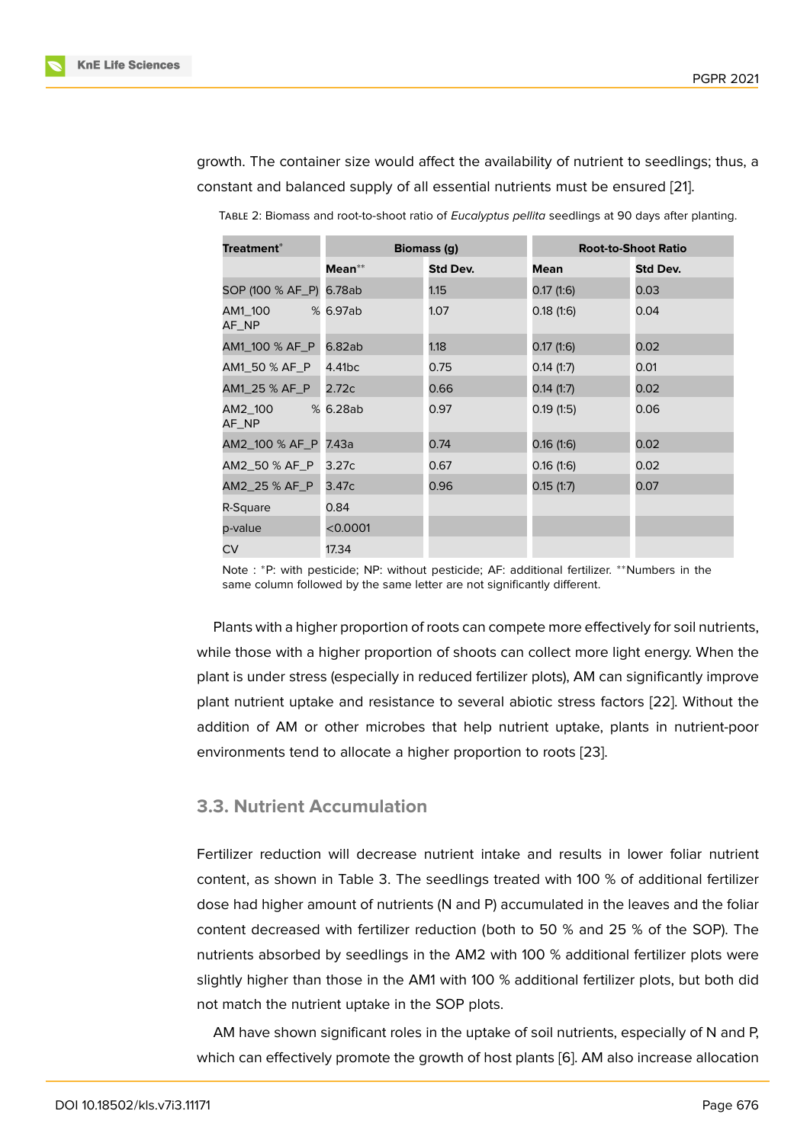growth. The container size would affect the availability of nutrient to seedlings; thus, a constant and balanced supply of all essential nutrients must be ensured [21].

| Treatment*              | <b>Biomass (g)</b> |          | <b>Root-to-Shoot Ratio</b> |          |
|-------------------------|--------------------|----------|----------------------------|----------|
|                         | Mean**             | Std Dev. | Mean                       | Std Dev. |
| SOP (100 % AF_P) 6.78ab |                    | 1.15     | 0.17(1:6)                  | 0.03     |
| AM1_100<br>AF_NP        | % 6.97ab           | 1.07     | 0.18(1:6)                  | 0.04     |
| AM1_100 % AF_P          | 6.82ab             | 1.18     | 0.17(1.6)                  | 0.02     |
| AM1_50 % AF_P           | 4.41bc             | 0.75     | 0.14(1:7)                  | 0.01     |
| AM1_25 % AF_P           | 2.72c              | 0.66     | 0.14(1:7)                  | 0.02     |
| AM2_100<br>AF_NP        | % 6.28ab           | 0.97     | 0.19(1:5)                  | 0.06     |
| AM2_100 % AF_P          | 7.43a              | 0.74     | 0.16(1:6)                  | 0.02     |
| AM2_50 % AF_P           | 3.27c              | 0.67     | 0.16(1:6)                  | 0.02     |
| AM2_25 % AF_P           | 3.47c              | 0.96     | 0.15(1:7)                  | 0.07     |
| R-Square                | 0.84               |          |                            |          |
| p-value                 | < 0.0001           |          |                            |          |
| CV                      | 17.34              |          |                            |          |

Table 2: Biomass and root-to-shoot ratio of *Eucalyptus pellita* seedlings at 90 days after planting.

Note : \*P: with pesticide; NP: without pesticide; AF: additional fertilizer. \*\*Numbers in the same column followed by the same letter are not significantly different.

Plants with a higher proportion of roots can compete more effectively for soil nutrients, while those with a higher proportion of shoots can collect more light energy. When the plant is under stress (especially in reduced fertilizer plots), AM can significantly improve plant nutrient uptake and resistance to several abiotic stress factors [22]. Without the addition of AM or other microbes that help nutrient uptake, plants in nutrient-poor environments tend to allocate a higher proportion to roots [23].

### **3.3. Nutrient Accumulation**

Fertilizer reduction will decrease nutrient intake and results in lower foliar nutrient content, as shown in Table 3. The seedlings treated with 100 % of additional fertilizer dose had higher amount of nutrients (N and P) accumulated in the leaves and the foliar content decreased with fertilizer reduction (both to 50 % and 25 % of the SOP). The nutrients absorbed by seedlings in the AM2 with 100 % additional fertilizer plots were slightly higher than those in the AM1 with 100 % additional fertilizer plots, but both did not match the nutrient uptake in the SOP plots.

AM have shown significant roles in the uptake of soil nutrients, especially of N and P, which can effectively promote the growth of host plants [6]. AM also increase allocation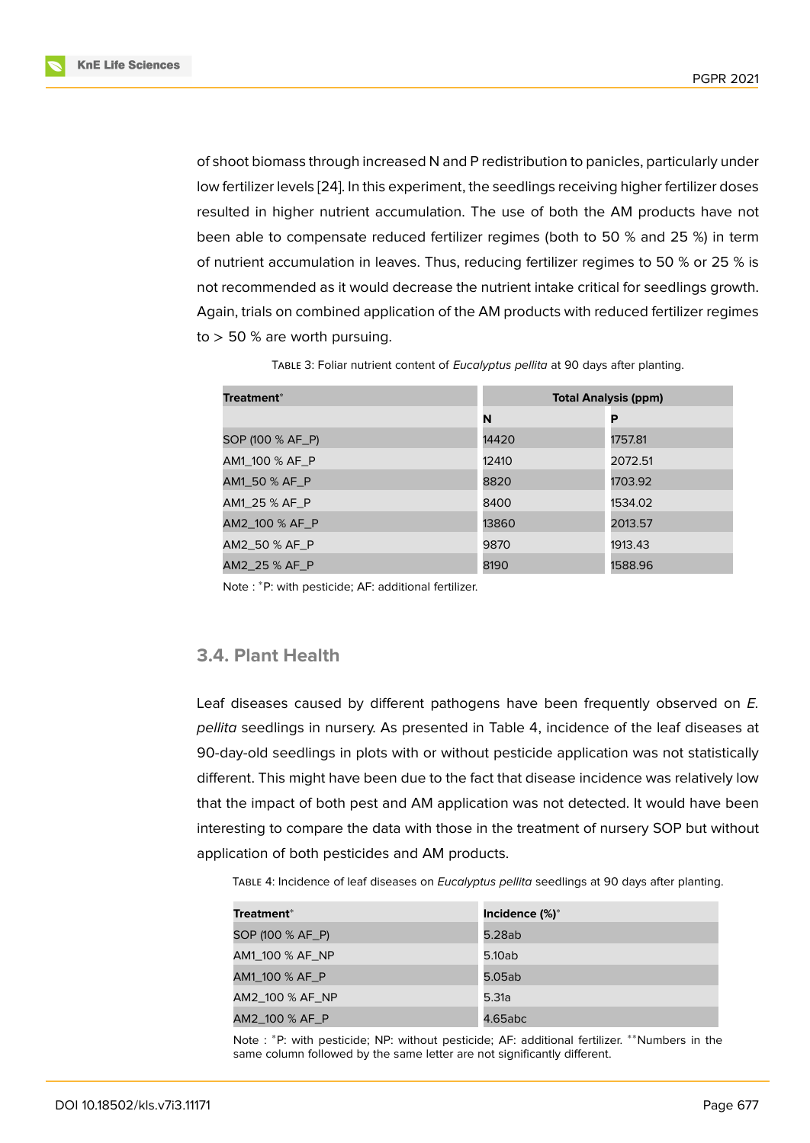of shoot biomass through increased N and P redistribution to panicles, particularly under low fertilizer levels [24]. In this experiment, the seedlings receiving higher fertilizer doses resulted in higher nutrient accumulation. The use of both the AM products have not been able to compensate reduced fertilizer regimes (both to 50 % and 25 %) in term of nutrient accumu[latio](#page-8-3)n in leaves. Thus, reducing fertilizer regimes to 50 % or 25 % is not recommended as it would decrease the nutrient intake critical for seedlings growth. Again, trials on combined application of the AM products with reduced fertilizer regimes  $to$  > 50 % are worth pursuing.

| Treatment*       | <b>Total Analysis (ppm)</b> |         |  |
|------------------|-----------------------------|---------|--|
|                  | N                           | P       |  |
| SOP (100 % AF_P) | 14420                       | 1757.81 |  |
| AM1_100 % AF_P   | 12410                       | 2072.51 |  |
| AM1_50 % AF_P    | 8820                        | 1703.92 |  |
| AM1_25 % AF_P    | 8400                        | 1534.02 |  |
| AM2_100 % AF_P   | 13860                       | 2013.57 |  |
| AM2_50 % AF_P    | 9870                        | 1913.43 |  |
| AM2_25 % AF_P    | 8190                        | 1588.96 |  |

Table 3: Foliar nutrient content of *Eucalyptus pellita* at 90 days after planting.

Note : <sup>∗</sup>P: with pesticide; AF: additional fertilizer.

### **3.4. Plant Health**

Leaf diseases caused by different pathogens have been frequently observed on *E. pellita* seedlings in nursery. As presented in Table 4, incidence of the leaf diseases at 90-day-old seedlings in plots with or without pesticide application was not statistically different. This might have been due to the fact that disease incidence was relatively low that the impact of both pest and AM application was not detected. It would have been interesting to compare the data with those in the treatment of nursery SOP but without application of both pesticides and AM products.

Table 4: Incidence of leaf diseases on *Eucalyptus pellita* seedlings at 90 days after planting.

| Treatment <sup>*</sup> | Incidence (%)* |
|------------------------|----------------|
| SOP (100 % AF_P)       | 5.28ab         |
| AM1_100 % AF_NP        | 5.10ab         |
| AM1_100 % AF_P         | 5.05ab         |
| AM2_100 % AF_NP        | 5.31a          |
| AM2 100 % AF P         | 4.65abc        |

Note : <sup>∗</sup>P: with pesticide; NP: without pesticide; AF: additional fertilizer. ∗∗Numbers in the same column followed by the same letter are not significantly different.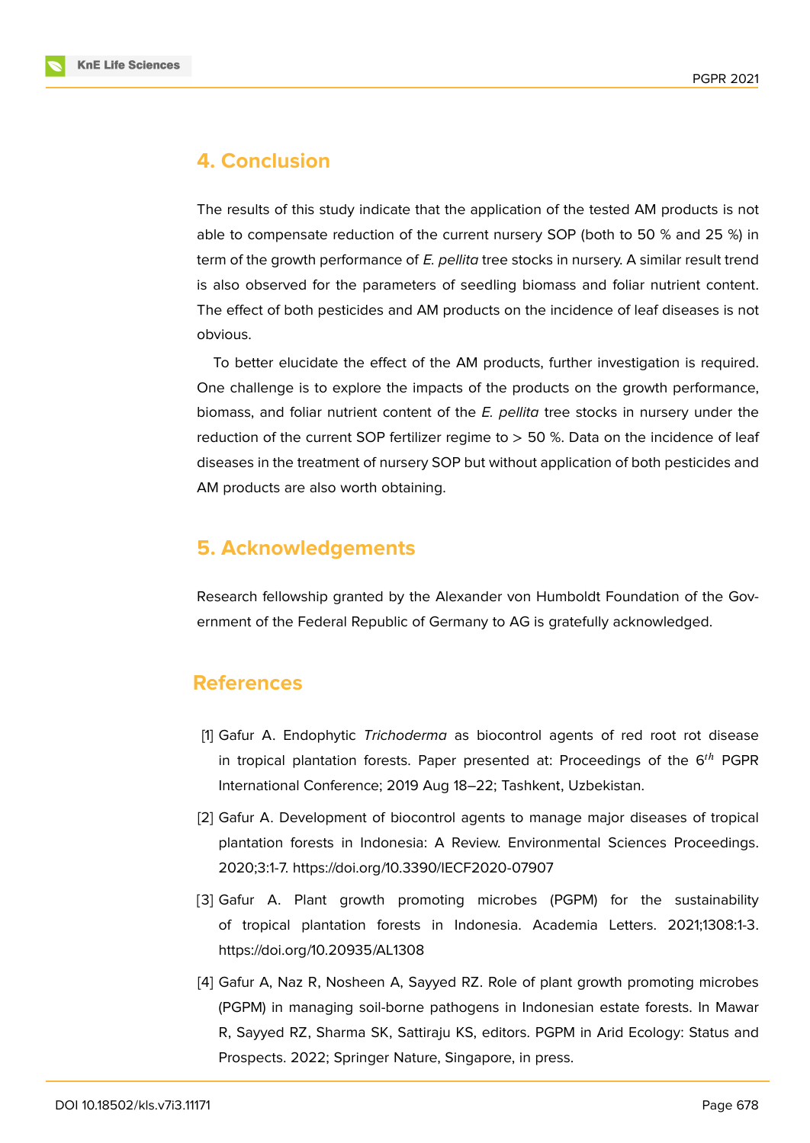

### **4. Conclusion**

The results of this study indicate that the application of the tested AM products is not able to compensate reduction of the current nursery SOP (both to 50 % and 25 %) in term of the growth performance of *E. pellita* tree stocks in nursery. A similar result trend is also observed for the parameters of seedling biomass and foliar nutrient content. The effect of both pesticides and AM products on the incidence of leaf diseases is not obvious.

To better elucidate the effect of the AM products, further investigation is required. One challenge is to explore the impacts of the products on the growth performance, biomass, and foliar nutrient content of the *E. pellita* tree stocks in nursery under the reduction of the current SOP fertilizer regime to  $> 50$  %. Data on the incidence of leaf diseases in the treatment of nursery SOP but without application of both pesticides and AM products are also worth obtaining.

### **5. Acknowledgements**

Research fellowship granted by the Alexander von Humboldt Foundation of the Government of the Federal Republic of Germany to AG is gratefully acknowledged.

### **References**

- [1] Gafur A. Endophytic *Trichoderma* as biocontrol agents of red root rot disease in tropical plantation forests. Paper presented at: Proceedings of the  $6^{th}$  PGPR International Conference; 2019 Aug 18–22; Tashkent, Uzbekistan.
- [2] Gafur A. Development of biocontrol agents to manage major diseases of tropical plantation forests in Indonesia: A Review. Environmental Sciences Proceedings. 2020;3:1-7. https://doi.org/10.3390/IECF2020-07907
- [3] Gafur A. Plant growth promoting microbes (PGPM) for the sustainability of tropical plantation forests in Indonesia. Academia Letters. 2021;1308:1-3. https://doi.org/10.20935/AL1308
- [4] Gafur A, Naz R, Nosheen A, Sayyed RZ. Role of plant growth promoting microbes (PGPM) in managing soil-borne pathogens in Indonesian estate forests. In Mawar R, Sayyed RZ, Sharma SK, Sattiraju KS, editors. PGPM in Arid Ecology: Status and Prospects. 2022; Springer Nature, Singapore, in press.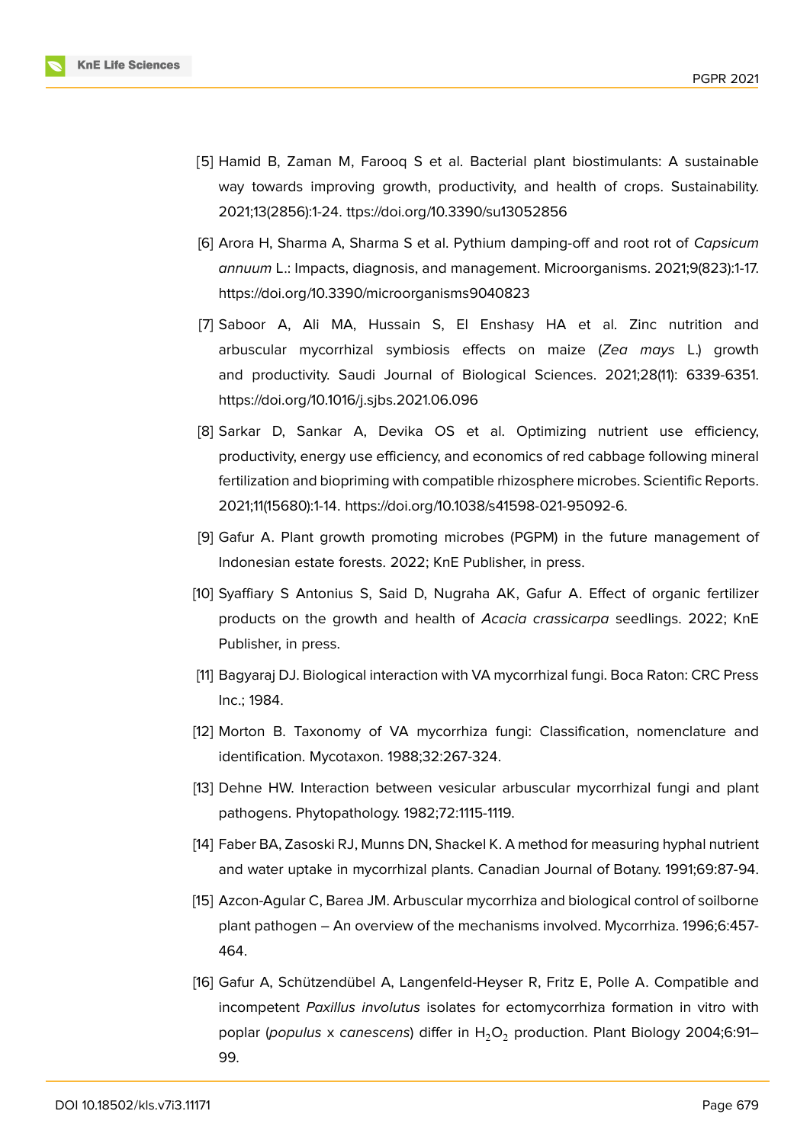

- [5] Hamid B, Zaman M, Farooq S et al. Bacterial plant biostimulants: A sustainable way towards improving growth, productivity, and health of crops. Sustainability. 2021;13(2856):1-24. ttps://doi.org/10.3390/su13052856
- [6] Arora H, Sharma A, Sharma S et al. Pythium damping-off and root rot of *Capsicum annuum* L.: Impacts, diagnosis, and management. Microorganisms. 2021;9(823):1-17. https://doi.org/10.3390/microorganisms9040823
- [7] Saboor A, Ali MA, Hussain S, El Enshasy HA et al. Zinc nutrition and arbuscular mycorrhizal symbiosis effects on maize (*Zea mays* L.) growth and productivity. Saudi Journal of Biological Sciences. 2021;28(11): 6339-6351. https://doi.org/10.1016/j.sjbs.2021.06.096
- [8] Sarkar D, Sankar A, Devika OS et al. Optimizing nutrient use efficiency, productivity, energy use efficiency, and economics of red cabbage following mineral fertilization and biopriming with compatible rhizosphere microbes. Scientific Reports. 2021;11(15680):1-14. https://doi.org/10.1038/s41598-021-95092-6.
- [9] Gafur A. Plant growth promoting microbes (PGPM) in the future management of Indonesian estate forests. 2022; KnE Publisher, in press.
- [10] Syaffiary S Antonius S, Said D, Nugraha AK, Gafur A. Effect of organic fertilizer products on the growth and health of *Acacia crassicarpa* seedlings. 2022; KnE Publisher, in press.
- <span id="page-7-0"></span>[11] Bagyaraj DJ. Biological interaction with VA mycorrhizal fungi. Boca Raton: CRC Press Inc.; 1984.
- <span id="page-7-1"></span>[12] Morton B. Taxonomy of VA mycorrhiza fungi: Classification, nomenclature and identification. Mycotaxon. 1988;32:267-324.
- [13] Dehne HW. Interaction between vesicular arbuscular mycorrhizal fungi and plant pathogens. Phytopathology. 1982;72:1115-1119.
- [14] Faber BA, Zasoski RJ, Munns DN, Shackel K. A method for measuring hyphal nutrient and water uptake in mycorrhizal plants. Canadian Journal of Botany. 1991;69:87-94.
- [15] Azcon-Agular C, Barea JM. Arbuscular mycorrhiza and biological control of soilborne plant pathogen – An overview of the mechanisms involved. Mycorrhiza. 1996;6:457- 464.
- [16] Gafur A, Schützendübel A, Langenfeld-Heyser R, Fritz E, Polle A. Compatible and incompetent *Paxillus involutus* isolates for ectomycorrhiza formation in vitro with poplar (populus x canescens) differ in H<sub>2</sub>O<sub>2</sub> production. Plant Biology 2004;6:91-99.